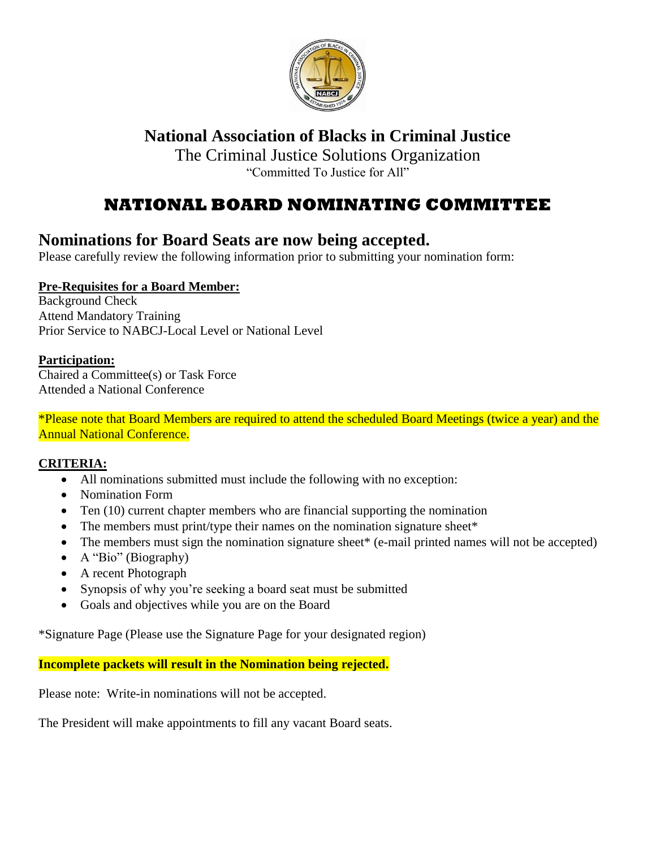

# **National Association of Blacks in Criminal Justice**

The Criminal Justice Solutions Organization "Committed To Justice for All"

# **NATIONAL BOARD NOMINATING COMMITTEE**

### **Nominations for Board Seats are now being accepted.**

Please carefully review the following information prior to submitting your nomination form:

### **Pre-Requisites for a Board Member:**

Background Check Attend Mandatory Training Prior Service to NABCJ-Local Level or National Level

### **Participation:**

Chaired a Committee(s) or Task Force Attended a National Conference

\*Please note that Board Members are required to attend the scheduled Board Meetings (twice a year) and the Annual National Conference.

### **CRITERIA:**

- All nominations submitted must include the following with no exception:
- Nomination Form
- Ten (10) current chapter members who are financial supporting the nomination
- The members must print/type their names on the nomination signature sheet\*
- The members must sign the nomination signature sheet<sup>\*</sup> (e-mail printed names will not be accepted)
- A "Bio" (Biography)
- A recent Photograph
- Synopsis of why you're seeking a board seat must be submitted
- Goals and objectives while you are on the Board

\*Signature Page (Please use the Signature Page for your designated region)

**Incomplete packets will result in the Nomination being rejected.**

Please note: Write-in nominations will not be accepted.

The President will make appointments to fill any vacant Board seats.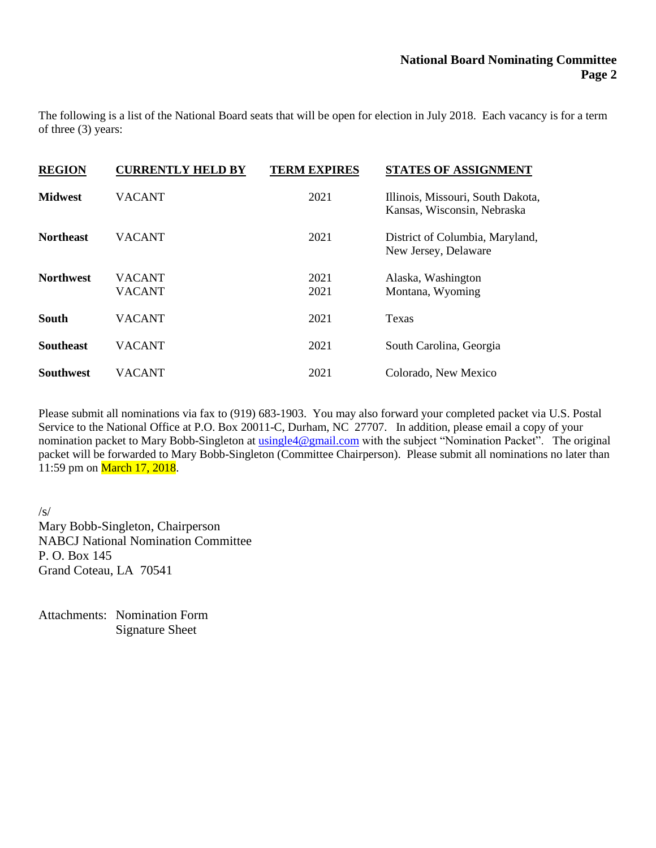The following is a list of the National Board seats that will be open for election in July 2018. Each vacancy is for a term of three (3) years:

| <b>REGION</b>    | <b>CURRENTLY HELD BY</b>       | <b>TERM EXPIRES</b> | <b>STATES OF ASSIGNMENT</b>                                      |
|------------------|--------------------------------|---------------------|------------------------------------------------------------------|
| <b>Midwest</b>   | <b>VACANT</b>                  | 2021                | Illinois, Missouri, South Dakota,<br>Kansas, Wisconsin, Nebraska |
| <b>Northeast</b> | <b>VACANT</b>                  | 2021                | District of Columbia, Maryland,<br>New Jersey, Delaware          |
| <b>Northwest</b> | <b>VACANT</b><br><b>VACANT</b> | 2021<br>2021        | Alaska, Washington<br>Montana, Wyoming                           |
| <b>South</b>     | <b>VACANT</b>                  | 2021                | Texas                                                            |
| <b>Southeast</b> | <b>VACANT</b>                  | 2021                | South Carolina, Georgia                                          |
| <b>Southwest</b> | VACANT                         | 2021                | Colorado, New Mexico                                             |

Please submit all nominations via fax to (919) 683-1903. You may also forward your completed packet via U.S. Postal Service to the National Office at P.O. Box 20011-C, Durham, NC 27707. In addition, please email a copy of your nomination packet to Mary Bobb-Singleton at [usingle4@gmail.com](mailto:usingle4@gmail.com) with the subject "Nomination Packet". The original packet will be forwarded to Mary Bobb-Singleton (Committee Chairperson). Please submit all nominations no later than 11:59 pm on **March 17, 2018**.

/s/ Mary Bobb-Singleton, Chairperson NABCJ National Nomination Committee P. O. Box 145 Grand Coteau, LA 70541

Attachments: Nomination Form Signature Sheet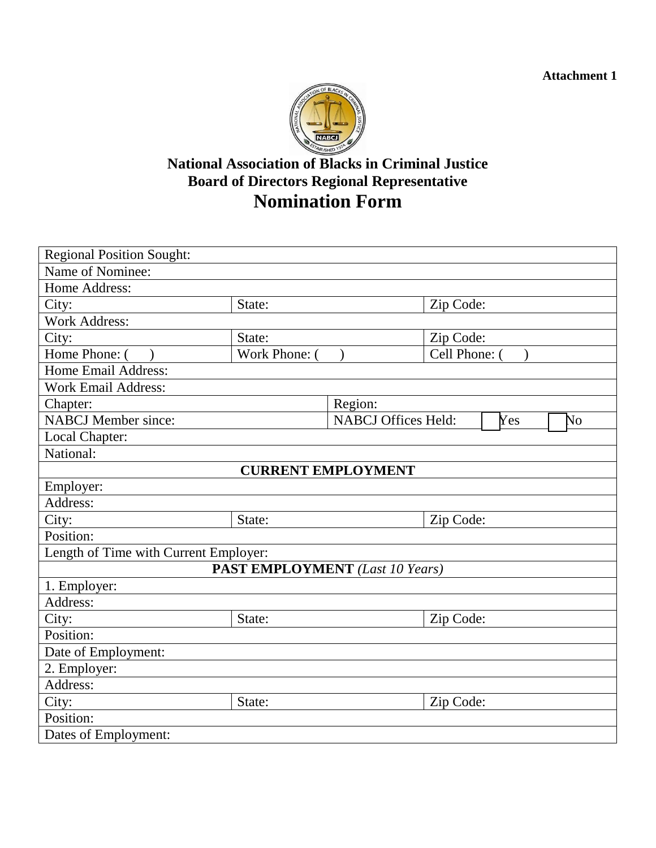**Attachment 1**



## **National Association of Blacks in Criminal Justice Board of Directors Regional Representative Nomination Form**

| <b>Regional Position Sought:</b>       |               |                                         |             |  |  |
|----------------------------------------|---------------|-----------------------------------------|-------------|--|--|
| Name of Nominee:                       |               |                                         |             |  |  |
| Home Address:                          |               |                                         |             |  |  |
| City:                                  | State:        |                                         | Zip Code:   |  |  |
| <b>Work Address:</b>                   |               |                                         |             |  |  |
| City:                                  | State:        |                                         | Zip Code:   |  |  |
| Home Phone: (                          | Work Phone: ( |                                         | Cell Phone: |  |  |
| Home Email Address:                    |               |                                         |             |  |  |
| <b>Work Email Address:</b>             |               |                                         |             |  |  |
| Chapter:                               |               | Region:                                 |             |  |  |
| <b>NABCJ</b> Member since:             |               | <b>NABCJ Offices Held:</b><br>Yes<br>No |             |  |  |
| Local Chapter:                         |               |                                         |             |  |  |
| National:                              |               |                                         |             |  |  |
|                                        |               | <b>CURRENT EMPLOYMENT</b>               |             |  |  |
| Employer:                              |               |                                         |             |  |  |
| Address:                               |               |                                         |             |  |  |
| City:                                  | State:        |                                         | Zip Code:   |  |  |
| Position:                              |               |                                         |             |  |  |
| Length of Time with Current Employer:  |               |                                         |             |  |  |
| <b>PAST EMPLOYMENT</b> (Last 10 Years) |               |                                         |             |  |  |
| 1. Employer:                           |               |                                         |             |  |  |
| Address:                               |               |                                         |             |  |  |
| City:                                  | State:        |                                         | Zip Code:   |  |  |
| Position:                              |               |                                         |             |  |  |
| Date of Employment:                    |               |                                         |             |  |  |
| 2. Employer:                           |               |                                         |             |  |  |
| Address:                               |               |                                         |             |  |  |
| City:                                  | State:        |                                         | Zip Code:   |  |  |
| Position:                              |               |                                         |             |  |  |
| Dates of Employment:                   |               |                                         |             |  |  |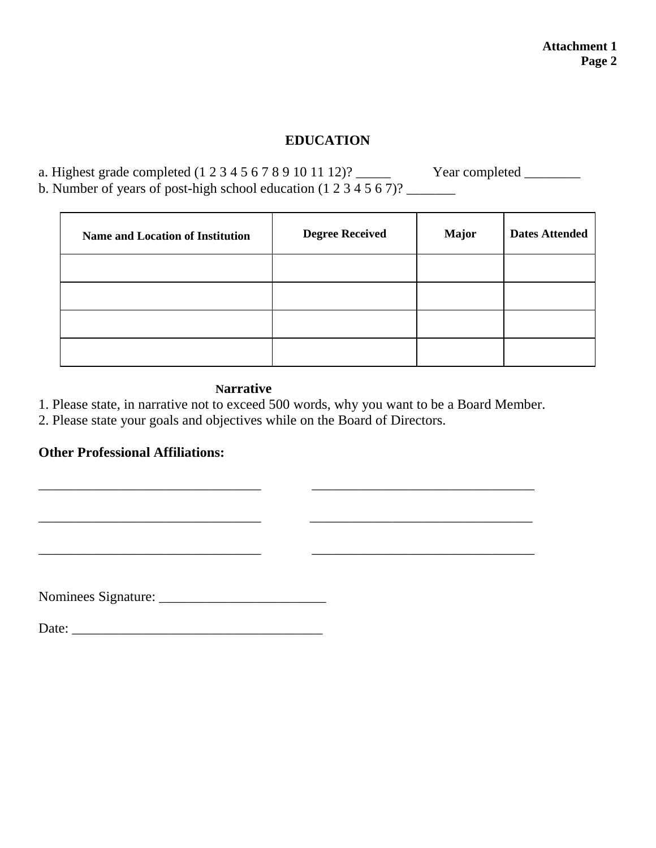### **EDUCATION**

a. Highest grade completed (1 2 3 4 5 6 7 8 9 10 11 12)? \_\_\_\_\_ Year completed \_\_\_\_\_\_\_\_ b. Number of years of post-high school education (1 2 3 4 5 6 7)? \_\_\_\_\_\_\_

| <b>Name and Location of Institution</b> | <b>Degree Received</b> | <b>Major</b> | <b>Dates Attended</b> |
|-----------------------------------------|------------------------|--------------|-----------------------|
|                                         |                        |              |                       |
|                                         |                        |              |                       |
|                                         |                        |              |                       |
|                                         |                        |              |                       |

 $\overline{\phantom{a}}$  ,  $\overline{\phantom{a}}$  ,  $\overline{\phantom{a}}$  ,  $\overline{\phantom{a}}$  ,  $\overline{\phantom{a}}$  ,  $\overline{\phantom{a}}$  ,  $\overline{\phantom{a}}$  ,  $\overline{\phantom{a}}$  ,  $\overline{\phantom{a}}$  ,  $\overline{\phantom{a}}$  ,  $\overline{\phantom{a}}$  ,  $\overline{\phantom{a}}$  ,  $\overline{\phantom{a}}$  ,  $\overline{\phantom{a}}$  ,  $\overline{\phantom{a}}$  ,  $\overline{\phantom{a}}$ 

### **Narrative**

1. Please state, in narrative not to exceed 500 words, why you want to be a Board Member.

\_\_\_\_\_\_\_\_\_\_\_\_\_\_\_\_\_\_\_\_\_\_\_\_\_\_\_\_\_\_\_\_ \_\_\_\_\_\_\_\_\_\_\_\_\_\_\_\_\_\_\_\_\_\_\_\_\_\_\_\_\_\_\_\_

2. Please state your goals and objectives while on the Board of Directors.

### **Other Professional Affiliations:**

Nominees Signature:

Date:

\_\_\_\_\_\_\_\_\_\_\_\_\_\_\_\_\_\_\_\_\_\_\_\_\_\_\_\_\_\_\_\_ \_\_\_\_\_\_\_\_\_\_\_\_\_\_\_\_\_\_\_\_\_\_\_\_\_\_\_\_\_\_\_\_